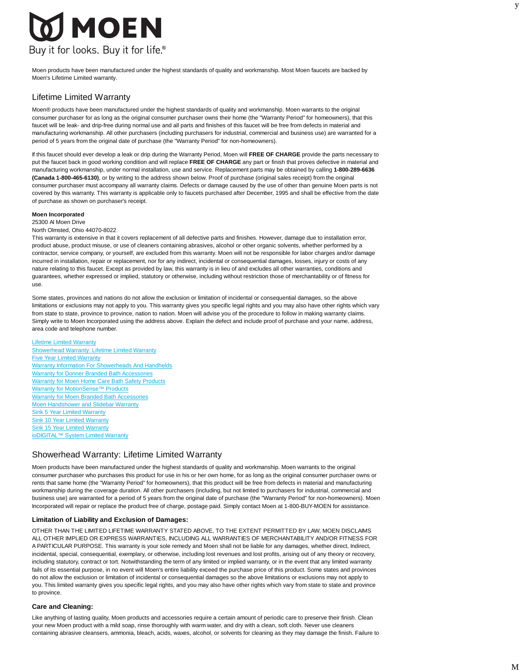# **MOEN** Buy it for looks. Buy it for life.®

Moen products have been manufactured under the highest standards of quality and workmanship. Most Moen faucets are backed by Moen's Lifetime Limited warranty.

# Lifetime Limited Warranty

Moen® products have been manufactured under the highest standards of quality and workmanship. Moen warrants to the original consumer purchaser for as long as the original consumer purchaser owns their home (the "Warranty Period" for homeowners), that this faucet will be leak- and drip-free during normal use and all parts and finishes of this faucet will be free from defects in material and manufacturing workmanship. All other purchasers (including purchasers for industrial, commercial and business use) are warranted for a period of 5 years from the original date of purchase (the "Warranty Period" for non-homeowners).

If this faucet should ever develop a leak or drip during the Warranty Period, Moen will **FREE OF CHARGE** provide the parts necessary to put the faucet back in good working condition and will replace **FREE OF CHARGE** any part or finish that proves defective in material and manufacturing workmanship, under normal installation, use and service. Replacement parts may be obtained by calling **1-800-289-6636 (Canada 1-800-465-6130)**, or by writing to the address shown below. Proof of purchase (original sales receipt) from the original consumer purchaser must accompany all warranty claims. Defects or damage caused by the use of other than genuine Moen parts is not covered by this warranty. This warranty is applicable only to faucets purchased after December, 1995 and shall be effective from the date of purchase as shown on purchaser's receipt.

## **Moen Incorporated**

#### 25300 Al Moen Drive

#### North Olmsted, Ohio 44070-8022

This warranty is extensive in that it covers replacement of all defective parts and finishes. However, damage due to installation error, product abuse, product misuse, or use of cleaners containing abrasives, alcohol or other organic solvents, whether performed by a contractor, service company, or yourself, are excluded from this warranty. Moen will not be responsible for labor charges and/or damage incurred in installation, repair or replacement, nor for any indirect, incidental or consequential damages, losses, injury or costs of any nature relating to this faucet. Except as provided by law, this warranty is in lieu of and excludes all other warranties, conditions and guarantees, whether expressed or implied, statutory or otherwise, including without restriction those of merchantability or of fitness for use.

Some states, provinces and nations do not allow the exclusion or limitation of incidental or consequential damages, so the above limitations or exclusions may not apply to you. This warranty gives you specific legal rights and you may also have other rights which vary from state to state, province to province, nation to nation. Moen will advise you of the procedure to follow in making warranty claims. Simply write to Moen Incorporated using the address above. Explain the defect and include proof of purchase and your name, address, area code and telephone number.

#### Lifetime Limited Warranty

Showerhead Warranty: Lifetime Limited Warranty **Five Year Limited Warranty** Warranty Information For Showerheads And Handhelds Warranty for Donner Branded Bath Accessories Warranty for Moen Home Care Bath Safety Products Warranty for MotionSense™ Products Warranty for Moen Branded Bath Accessories **Moen Handshower and Slidebar Warranty** Sink 5 Year Limited Warranty Sink 10 Year Limited Warranty Sink 15 Year Limited Warranty ioDIGITAL™ System Limited Warranty

# Showerhead Warranty: Lifetime Limited Warranty

Moen products have been manufactured under the highest standards of quality and workmanship. Moen warrants to the original consumer purchaser who purchases this product for use in his or her own home, for as long as the original consumer purchaser owns or rents that same home (the "Warranty Period" for homeowners), that this product will be free from defects in material and manufacturing workmanship during the coverage duration. All other purchasers (including, but not Iimited to purchasers for industrial, commercial and business use) are warranted for a period of 5 years from the original date of purchase (the "Warranty Period" for non-homeowners). Moen Incorporated will repair or replace the product free of charge, postage paid. Simply contact Moen at 1-800-BUY-MOEN for assistance.

## **Limitation of Liability and Exclusion of Damages:**

OTHER THAN THE LIMITED LIFETIME WARRANTY STATED ABOVE, TO THE EXTENT PERMITTED BY LAW, MOEN DISCLAIMS ALL OTHER IMPLIED OR EXPRESS WARRANTIES, INCLUDING ALL WARRANTIES OF MERCHANTABILITY AND/OR FITNESS FOR A PARTICULAR PURPOSE. This warranty is your sole remedy and Moen shall not be liable for any damages, whether direct, Indirect, incidental, special, consequential, exemplary, or otherwise, including lost revenues and lost profits, arising out of any theory or recovery, including statutory, contract or tort. Notwithstanding the term of any Iimited or implied warranty, or in the event that any limited warranty fails of its essential purpose, in no event will Moen's entire liability exceed the purchase price of this product. Some states and provinces do not allow the exclusion or limitation of incidental or consequential damages so the above limitations or exclusions may not apply to you. This limited warranty gives you specific legal rights, and you may also have other rights which vary from state to state and province to province.

## **Care and Cleaning:**

Like anything of lasting quality, Moen products and accessories require a certain amount of periodic care to preserve their finish. Clean your new Moen product with a mild soap, rinse thoroughly with warm water, and dry with a clean, soft cloth. Never use cleaners containing abrasive cleansers, ammonia, bleach, acids, waxes, alcohol, or solvents for cleaning as they may damage the finish. Failure to y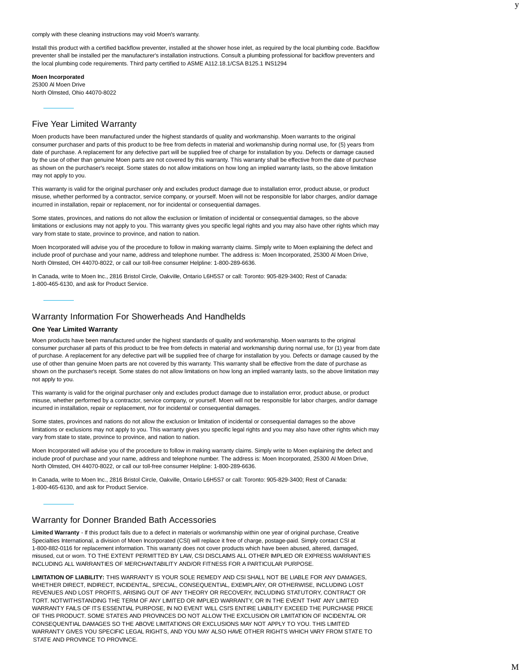comply with these cleaning instructions may void Moen's warranty.

Install this product with a certified backflow preventer, installed at the shower hose inlet, as required by the local plumbing code. Backflow preventer shall be installed per the manufacturer's installation instructions. Consult a plumbing professional for backflow preventers and the local plumbing code requirements. Third party certified to ASME A112.18.1/CSA B125.1 INS1294

**Moen Incorporated** 25300 Al Moen Drive North Olmsted, Ohio 44070-8022

## Five Year Limited Warranty

Moen products have been manufactured under the highest standards of quality and workmanship. Moen warrants to the original consumer purchaser and parts of this product to be free from defects in material and workmanship during normal use, for (5) years from date of purchase. A replacement for any defective part will be supplied free of charge for installation by you. Defects or damage caused by the use of other than genuine Moen parts are not covered by this warranty. This warranty shall be effective from the date of purchase as shown on the purchaser's receipt. Some states do not allow imitations on how long an implied warranty lasts, so the above limitation may not apply to you.

This warranty is valid for the original purchaser only and excludes product damage due to installation error, product abuse, or product misuse, whether performed by a contractor, service company, or yourself. Moen will not be responsible for labor charges, and/or damage incurred in installation, repair or replacement, nor for incidental or consequential damages.

Some states, provinces, and nations do not allow the exclusion or limitation of incidental or consequential damages, so the above limitations or exclusions may not apply to you. This warranty gives you specific legal rights and you may also have other rights which may vary from state to state, province to province, and nation to nation.

Moen Incorporated will advise you of the procedure to follow in making warranty claims. Simply write to Moen explaining the defect and include proof of purchase and your name, address and telephone number. The address is: Moen Incorporated, 25300 Al Moen Drive, North OImsted, OH 44070-8022, or call our toll-free consumer Helpline: 1-800-289-6636.

In Canada, write to Moen Inc., 2816 Bristol Circle, OakviIIe, Ontario L6H5S7 or call: Toronto: 905-829-3400; Rest of Canada: 1-800-465-6130, and ask for Product Service.

## Warranty Information For Showerheads And Handhelds

#### **One Year Limited Warranty**

Moen products have been manufactured under the highest standards of quality and workmanship. Moen warrants to the original consumer purchaser all parts of this product to be free from defects in material and workmanship during normal use, for (1) year from date of purchase. A replacement for any defective part will be supplied free of charge for installation by you. Defects or damage caused by the use of other than genuine Moen parts are not covered by this warranty. This warranty shall be effective from the date of purchase as shown on the purchaser's receipt. Some states do not allow limitations on how long an implied warranty lasts, so the above limitation may not apply to you.

This warranty is valid for the original purchaser only and excludes product damage due to installation error, product abuse, or product misuse, whether performed by a contractor, service company, or yourself. Moen will not be responsible for labor charges, and/or damage incurred in installation, repair or replacement, nor for incidental or consequential damages.

Some states, provinces and nations do not allow the exclusion or limitation of incidental or consequential damages so the above limitations or exclusions may not apply to you. This warranty gives you specific legal rights and you may also have other rights which may vary from state to state, province to province, and nation to nation.

Moen Incorporated will advise you of the procedure to follow in making warranty claims. Simply write to Moen explaining the defect and include proof of purchase and your name, address and telephone number. The address is: Moen Incorporated, 25300 AI Moen Drive, North Olmsted, OH 44070-8022, or call our toll-free consumer Helpline: 1-800-289-6636.

In Canada, write to Moen Inc., 2816 Bristol Circle, Oakville, Ontario L6H5S7 or call: Toronto: 905-829-3400; Rest of Canada: 1-800-465-6130, and ask for Product Service.

## Warranty for Donner Branded Bath Accessories

**Limited Warranty** - If this product fails due to a defect in materials or workmanship within one year of original purchase, Creative Specialties International, a division of Moen Incorporated (CSI) will replace it free of charge, postage-paid. Simply contact CSI at 1-800-882-0116 for replacement information. This warranty does not cover products which have been abused, altered, damaged, misused, cut or worn. TO THE EXTENT PERMITTED BY LAW, CSI DISCLAIMS ALL OTHER IMPLIED OR EXPRESS WARRANTIES INCLUDING ALL WARRANTIES OF MERCHANTABILITY AND/OR FITNESS FOR A PARTICULAR PURPOSE.

**LIMITATION OF LIABILITY:** THIS WARRANTY IS YOUR SOLE REMEDY AND CSI SHALL NOT BE LIABLE FOR ANY DAMAGES, WHETHER DIRECT, INDIRECT, INCIDENTAL, SPECIAL, CONSEQUENTIAL, EXEMPLARY, OR OTHERWISE, INCLUDING LOST REVENUES AND LOST PROFITS, ARISING OUT OF ANY THEORY OR RECOVERY, INCLUDING STATUTORY, CONTRACT OR TORT. NOTWITHSTANDING THE TERM OF ANY LIMITED OR IMPLIED WARRANTY, OR IN THE EVENT THAT ANY LIMITED WARRANTY FAILS OF ITS ESSENTIAL PURPOSE, IN NO EVENT WILL CSI'S ENTIRE LIABILITY EXCEED THE PURCHASE PRICE OF THIS PRODUCT. SOME STATES AND PROVINCES DO NOT ALLOW THE EXCLUSION OR LIMITATION OF INCIDENTAL OR CONSEQUENTIAL DAMAGES SO THE ABOVE LIMITATIONS OR EXCLUSIONS MAY NOT APPLY TO YOU. THIS LIMITED WARRANTY GIVES YOU SPECIFIC LEGAL RIGHTS, AND YOU MAY ALSO HAVE OTHER RIGHTS WHICH VARY FROM STATE TO STATE AND PROVINCE TO PROVINCE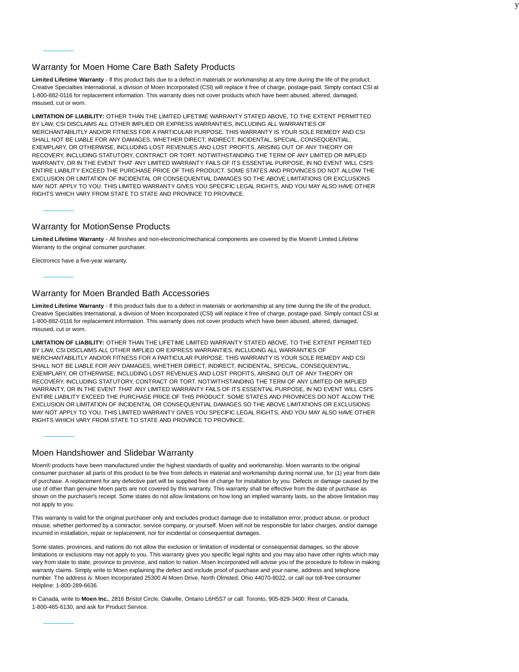## Warranty for Moen Home Care Bath Safety Products

**Limited Lifetime Warranty** - If this product fails due to a defect in materials or workmanship at any time during the life of the product, Creative Specialties International, a division of Moen Incorporated (CSI) will replace it free of charge, postage-paid. Simply contact CSI at 1-800-882-0116 for replacement information. This warranty does not cover products which have been abused, altered, damaged, misused, cut or worn.

**LIMITATION OF LIABILITY:** OTHER THAN THE LIMITED LIFETIME WARRANTY STATED ABOVE, TO THE EXTENT PERMITTED BY LAW, CSI DISCLAIMS ALL OTHER IMPLIED OR EXPRESS WARRANTIES, INCLUDING ALL WARRANTIES OF MERCHANTABILITLY AND/OR FITNESS FOR A PARTICULAR PURPOSE. THIS WARRANTY IS YOUR SOLE REMEDY AND CSI SHALL NOT BE LIABLE FOR ANY DAMAGES, WHETHER DIRECT, INDIRECT, INCIDENTAL, SPECIAL, CONSEQUENTIAL, EXEMPLARY, OR OTHERWISE, INCLUDING LOST REVENUES AND LOST PROFITS, ARISING OUT OF ANY THEORY OR RECOVERY, INCLUDING STATUTORY, CONTRACT OR TORT. NOTWITHSTANDING THE TERM OF ANY LIMITED OR IMPLIED WARRANTY, OR IN THE EVENT THAT ANY LIMITED WARRANTY FAILS OF ITS ESSENTIAL PURPOSE, IN NO EVENT WILL CSI'S ENTIRE LIABILITY EXCEED THE PURCHASE PRICE OF THIS PRODUCT. SOME STATES AND PROVINCES DO NOT ALLOW THE EXCLUSION OR LIMITATION OF INCIDENTAL OR CONSEQUENTIAL DAMAGES SO THE ABOVE LIMITATIONS OR EXCLUSIONS MAY NOT APPLY TO YOU. THIS LIMITED WARRANTY GIVES YOU SPECIFIC LEGAL RIGHTS, AND YOU MAY ALSO HAVE OTHER RIGHTS WHICH VARY FROM STATE TO STATE AND PROVINCE TO PROVINCE.

## Warranty for MotionSense Products

**Limited Lifetime Warranty** - All finishes and non-electronic/mechanical components are covered by the Moen® Limited Lifetime Warranty to the original consumer purchaser.

Electronics have a five-year warranty.

## Warranty for Moen Branded Bath Accessories

**Limited Lifetime Warranty** - If this product fails due to a defect in materials or workmanship at any time during the life of the product, Creative Specialties International, a division of Moen Incorporated (CSI) will replace it free of charge, postage-paid. Simply contact CSI at 1-800-882-0116 for replacement information. This warranty does not cover products which have been abused, altered, damaged, misused, cut or worn.

**LIMITATION OF LIABILITY:** OTHER THAN THE LIFETIME LIMITED WARRANTY STATED ABOVE, TO THE EXTENT PERMITTED BY LAW, CSI DISCLAIMS ALL OTHER IMPLIED OR EXPRESS WARRANTIES, INCLUDING ALL WARRANTIES OF MERCHANTABILITLY AND/OR FITNESS FOR A PARTICULAR PURPOSE. THIS WARRANTY IS YOUR SOLE REMEDY AND CSI SHALL NOT BE LIABLE FOR ANY DAMAGES, WHETHER DIRECT, INDIRECT, INCIDENTAL, SPECIAL, CONSEQUENTIAL, EXEMPLARY, OR OTHERWISE, INCLUDING LOST REVENUES AND LOST PROFITS, ARISING OUT OF ANY THEORY OR RECOVERY, INCLUDING STATUTORY, CONTRACT OR TORT. NOTWITHSTANDING THE TERM OF ANY LIMITED OR IMPLIED WARRANTY, OR IN THE EVENT THAT ANY LIMITED WARRANTY FAILS OF ITS ESSENTIAL PURPOSE, IN NO EVENT WILL CSI'S ENTIRE LIABILITY EXCEED THE PURCHASE PRICE OF THIS PRODUCT. SOME STATES AND PROVINCES DO NOT ALLOW THE EXCLUSION OR LIMITATION OF INCIDENTAL OR CONSEQUENTIAL DAMAGES SO THE ABOVE LIMITATIONS OR EXCLUSIONS MAY NOT APPLY TO YOU. THIS LIMITED WARRANTY GIVES YOU SPECIFIC LEGAL RIGHTS, AND YOU MAY ALSO HAVE OTHER RIGHTS WHICH VARY FROM STATE TO STATE AND PROVINCE TO PROVINCE.

## Moen Handshower and Slidebar Warranty

Moen® products have been manufactured under the highest standards of quality and workmanship. Moen warrants to the original consumer purchaser all parts of this product to be free from defects in material and workmanship during normal use, for (1) year from date of purchase. A replacement for any defective part will be supplied free of charge for installation by you. Defects or damage caused by the use of other than genuine Moen parts are not covered by this warranty. This warranty shall be effective from the date of purchase as shown on the purchaser's receipt. Some states do not allow limitations on how long an implied warranty lasts, so the above limitation may not apply to you.

This warranty is valid for the original purchaser only and excludes product damage due to installation error, product abuse, or product misuse, whether performed by a contractor, service company, or yourself. Moen will not be responsible for labor charges, and/or damage incurred in installation, repair or replacement, nor for incidental or consequential damages.

Some states, provinces, and nations do not allow the exclusion or limitation of incidental or consequential damages, so the above limitations or exclusions may not apply to you. This warranty gives you specific legal rights and you may also have other rights which may vary from state to state, province to province, and nation to nation. Moen Incorporated will advise you of the procedure to follow in making warranty claims. Simply write to Moen explaining the defect and include proof of purchase and your name, address and telephone number. The address is: Moen Incorporated 25300 Al Moen Drive, North Olmsted, Ohio 44070-8022, or call our toll-free consumer Helpline: 1-800-289-6636.

In Canada, write to **Moen Inc.**, 2816 Bristol Circle, Oakville, Ontario L6H5S7 or call: Toronto, 905-829-3400: Rest of Canada, 1-800-465-6130, and ask for Product Service.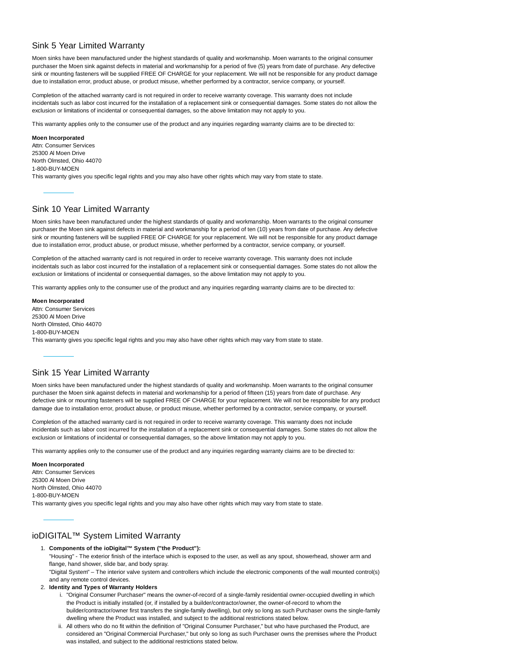## Sink 5 Year Limited Warranty

Moen sinks have been manufactured under the highest standards of quality and workmanship. Moen warrants to the original consumer purchaser the Moen sink against defects in material and workmanship for a period of five (5) years from date of purchase. Any defective sink or mounting fasteners will be supplied FREE OF CHARGE for your replacement. We will not be responsible for any product damage due to installation error, product abuse, or product misuse, whether performed by a contractor, service company, or yourself.

Completion of the attached warranty card is not required in order to receive warranty coverage. This warranty does not include incidentals such as labor cost incurred for the installation of a replacement sink or consequential damages. Some states do not allow the exclusion or limitations of incidental or consequential damages, so the above limitation may not apply to you.

This warranty applies only to the consumer use of the product and any inquiries regarding warranty claims are to be directed to:

#### **Moen Incorporated** Attn: Consumer Services 25300 Al Moen Drive North Olmsted, Ohio 44070 1-800-BUY-MOEN This warranty gives you specific legal rights and you may also have other rights which may vary from state to state.

## Sink 10 Year Limited Warranty

Moen sinks have been manufactured under the highest standards of quality and workmanship. Moen warrants to the original consumer purchaser the Moen sink against defects in material and workmanship for a period of ten (10) years from date of purchase. Any defective sink or mounting fasteners will be supplied FREE OF CHARGE for your replacement. We will not be responsible for any product damage due to installation error, product abuse, or product misuse, whether performed by a contractor, service company, or yourself.

Completion of the attached warranty card is not required in order to receive warranty coverage. This warranty does not include incidentals such as labor cost incurred for the installation of a replacement sink or consequential damages. Some states do not allow the exclusion or limitations of incidental or consequential damages, so the above limitation may not apply to you.

This warranty applies only to the consumer use of the product and any inquiries regarding warranty claims are to be directed to:

**Moen Incorporated** Attn: Consumer Services 25300 Al Moen Drive North Olmsted, Ohio 44070 1-800-BUY-MOEN This warranty gives you specific legal rights and you may also have other rights which may vary from state to state.

## Sink 15 Year Limited Warranty

Moen sinks have been manufactured under the highest standards of quality and workmanship. Moen warrants to the original consumer purchaser the Moen sink against defects in material and workmanship for a period of fifteen (15) years from date of purchase. Any defective sink or mounting fasteners will be supplied FREE OF CHARGE for your replacement. We will not be responsible for any product damage due to installation error, product abuse, or product misuse, whether performed by a contractor, service company, or yourself.

Completion of the attached warranty card is not required in order to receive warranty coverage. This warranty does not include incidentals such as labor cost incurred for the installation of a replacement sink or consequential damages. Some states do not allow the exclusion or limitations of incidental or consequential damages, so the above limitation may not apply to you.

This warranty applies only to the consumer use of the product and any inquiries regarding warranty claims are to be directed to:

**Moen Incorporated** Attn: Consumer Services 25300 Al Moen Drive North Olmsted, Ohio 44070 1-800-BUY-MOEN This warranty gives you specific legal rights and you may also have other rights which may vary from state to state.

## ioDIGITAL™ System Limited Warranty

#### **Components of the ioDigital™ System ("the Product"):** 1. "Housing" - The exterior finish of the interface which is exposed to the user, as well as any spout, showerhead, shower arm and flange, hand shower, slide bar, and body spray. "Digital System" – The interior valve system and controllers which include the electronic components of the wall mounted control(s)

and any remote control devices.

#### **Identity and Types of Warranty Holders** 2.

- i. "Original Consumer Purchaser" means the owner-of-record of a single-family residential owner-occupied dwelling in which the Product is initially installed (or, if installed by a builder/contractor/owner, the owner-of-record to whom the builder/contractor/owner first transfers the single-family dwelling), but only so long as such Purchaser owns the single-family dwelling where the Product was installed, and subject to the additional restrictions stated below.
- ii. All others who do no fit within the definition of "Original Consumer Purchaser," but who have purchased the Product, are considered an "Original Commercial Purchaser," but only so long as such Purchaser owns the premises where the Product was installed, and subject to the additional restrictions stated below.